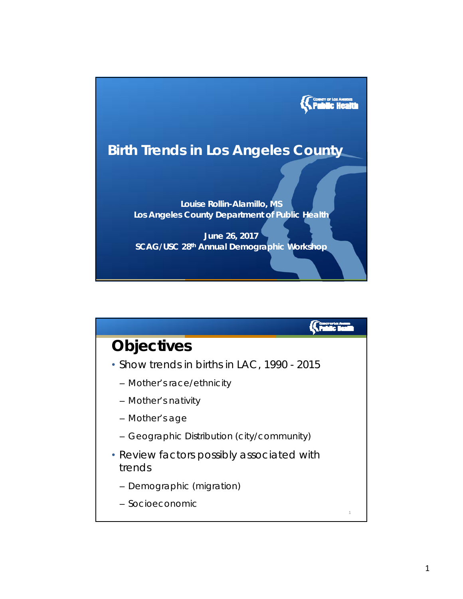

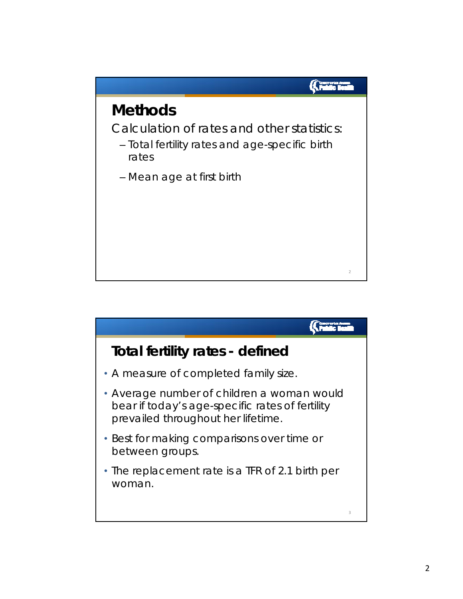

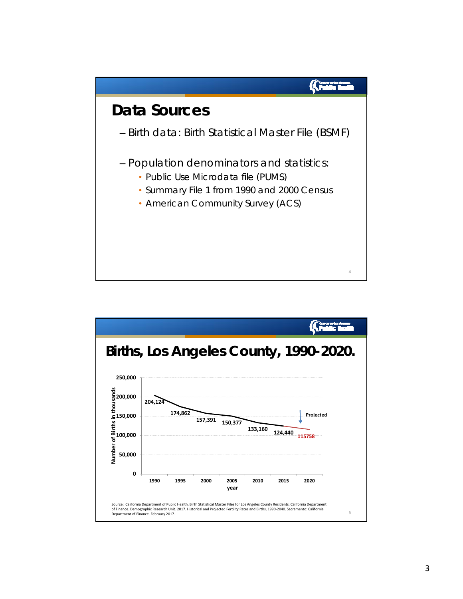

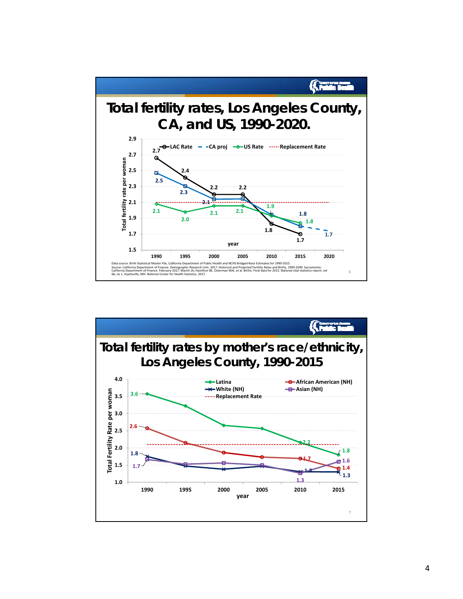

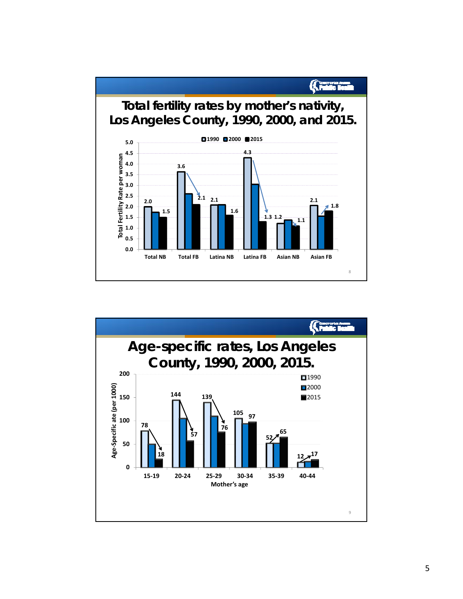

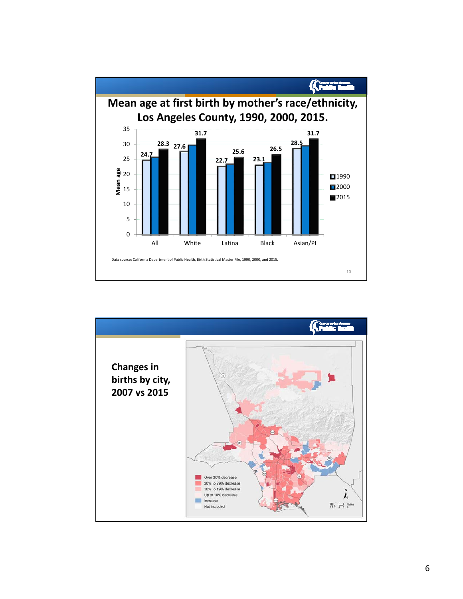

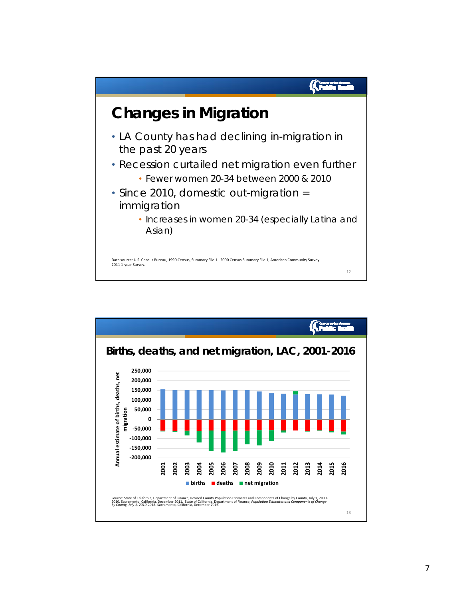

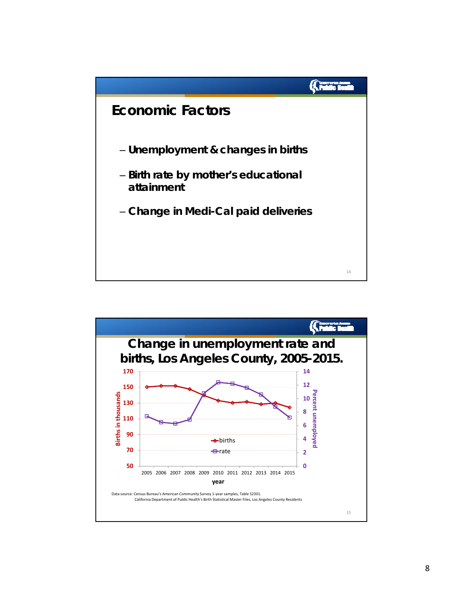

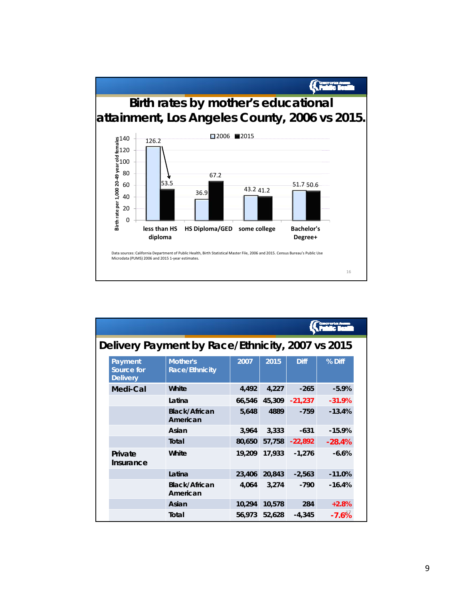

| Delivery Payment by Race/Ethnicity, 2007 vs 2015 |                                          |                                          |        |        |             |          |
|--------------------------------------------------|------------------------------------------|------------------------------------------|--------|--------|-------------|----------|
|                                                  | Payment<br>Source for<br><b>Delivery</b> | <b>Mother's</b><br><b>Race/Ethnicity</b> | 2007   | 2015   | <b>Diff</b> | % Diff   |
|                                                  | Medi-Cal                                 | White                                    | 4,492  | 4,227  | $-265$      | $-5.9%$  |
|                                                  |                                          | Latina                                   | 66,546 | 45,309 | $-21,237$   | $-31.9%$ |
|                                                  |                                          | Black/African<br>American                | 5,648  | 4889   | $-759$      | $-13.4%$ |
|                                                  |                                          | Asian                                    | 3,964  | 3,333  | $-631$      | $-15.9%$ |
|                                                  |                                          | Total                                    | 80,650 | 57,758 | $-22,892$   | $-28.4%$ |
|                                                  | Private<br>Insurance                     | White                                    | 19,209 | 17,933 | $-1,276$    | $-6.6%$  |
|                                                  |                                          | Latina                                   | 23,406 | 20,843 | $-2,563$    | $-11.0%$ |
|                                                  |                                          | Black/African<br>American                | 4,064  | 3,274  | $-790$      | $-16.4%$ |
|                                                  |                                          | Asian                                    | 10,294 | 10,578 | 284         | $+2.8%$  |
|                                                  |                                          | Total                                    | 56,973 | 52,628 | $-4,345$    | $-7.6%$  |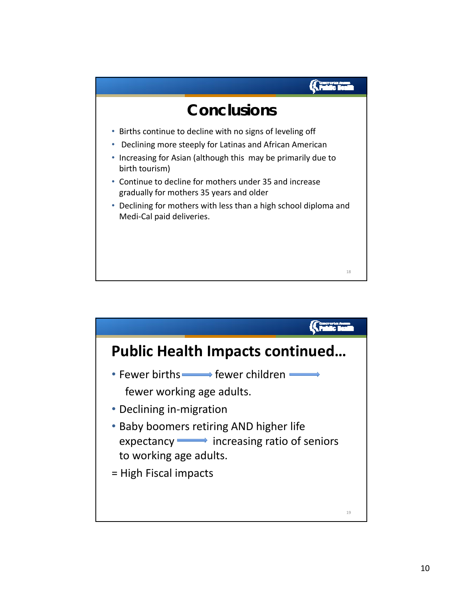